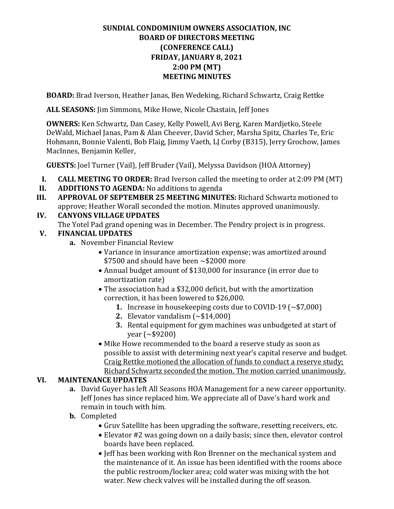# **SUNDIAL CONDOMINIUM OWNERS ASSOCIATION, INC BOARD OF DIRECTORS MEETING (CONFERENCE CALL) FRIDAY, JANUARY 8, 2021 2:00 PM (MT) MEETING MINUTES**

**BOARD:** Brad Iverson, Heather Janas, Ben Wedeking, Richard Schwartz, Craig Rettke

**ALL SEASONS:** Jim Simmons, Mike Howe, Nicole Chastain, Jeff Jones

**OWNERS:** Ken Schwartz, Dan Casey, Kelly Powell, Avi Berg, Karen Mardjetko, Steele DeWald, Michael Janas, Pam & Alan Cheever, David Scher, Marsha Spitz, Charles Te, Eric Hohmann, Bonnie Valenti, Bob Flaig, Jimmy Vaeth, LJ Corby (B315), Jerry Grochow, James MacInnes, Benjamin Keller,

**GUESTS:** Joel Turner (Vail), Jeff Bruder (Vail), Melyssa Davidson (HOA Attorney)

- **I. CALL MEETING TO ORDER:** Brad Iverson called the meeting to order at 2:09 PM (MT) **II. ADDITIONS TO AGENDA:** No additions to agenda
- **II. ADDITIONS TO AGENDA:** No additions to agenda<br>**III. APPROVAL OF SEPTEMBER 25 MEETING MINUT**
- **III. APPROVAL OF SEPTEMBER 25 MEETING MINUTES:** Richard Schwartz motioned to approve; Heather Worall seconded the motion. Minutes approved unanimously.

# **IV. CANYONS VILLAGE UPDATES**

The Yotel Pad grand opening was in December. The Pendry project is in progress.

### **V. FINANCIAL UPDATES**

- **a.** November Financial Review
	- Variance in insurance amortization expense; was amortized around  $$7500$  and should have been  $\sim $2000$  more
	- Annual budget amount of \$130,000 for insurance (in error due to amortization rate)
	- The association had a \$32,000 deficit, but with the amortization correction, it has been lowered to \$26,000.
		- **1.** Increase in housekeeping costs due to COVID-19 (~\$7,000)
		- **2.** Elevator vandalism (~\$14,000)
		- **3.** Rental equipment for gym machines was unbudgeted at start of year (~\$9200)
	- Mike Howe recommended to the board a reserve study as soon as possible to assist with determining next year's capital reserve and budget. Craig Rettke motioned the allocation of funds to conduct a reserve study; Richard Schwartz seconded the motion. The motion carried unanimously.

### **VI. MAINTENANCE UPDATES**

- **a.** David Guyer has left All Seasons HOA Management for a new career opportunity. Jeff Jones has since replaced him. We appreciate all of Dave's hard work and remain in touch with him.
- **b.** Completed
	- Gruv Satellite has been upgrading the software, resetting receivers, etc.
	- Elevator #2 was going down on a daily basis; since then, elevator control boards have been replaced.
	- Jeff has been working with Ron Brenner on the mechanical system and the maintenance of it. An issue has been identified with the rooms aboce the public restroom/locker area; cold water was mixing with the hot water. New check valves will be installed during the off season.